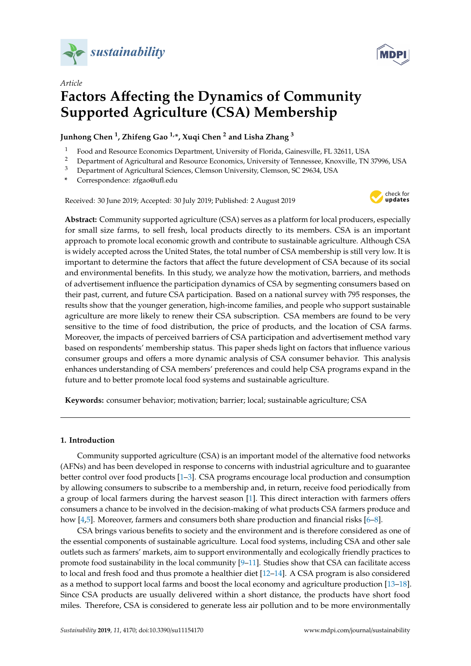



# *Article* **Factors A**ff**ecting the Dynamics of Community Supported Agriculture (CSA) Membership**

**Junhong Chen <sup>1</sup> , Zhifeng Gao 1,\*, Xuqi Chen <sup>2</sup> and Lisha Zhang <sup>3</sup>**

- <sup>1</sup> Food and Resource Economics Department, University of Florida, Gainesville, FL 32611, USA<br><sup>2</sup> Department of Agricultural and Resource Economics University of Tennessee, Knowille, TN
- <sup>2</sup> Department of Agricultural and Resource Economics, University of Tennessee, Knoxville, TN 37996, USA<br><sup>3</sup> Department of Agricultural Sciences, Clemeon University Clemeon, SC 20624, USA
- <sup>3</sup> Department of Agricultural Sciences, Clemson University, Clemson, SC 29634, USA
- **\*** Correspondence: zfgao@ufl.edu

Received: 30 June 2019; Accepted: 30 July 2019; Published: 2 August 2019



**Abstract:** Community supported agriculture (CSA) serves as a platform for local producers, especially for small size farms, to sell fresh, local products directly to its members. CSA is an important approach to promote local economic growth and contribute to sustainable agriculture. Although CSA is widely accepted across the United States, the total number of CSA membership is still very low. It is important to determine the factors that affect the future development of CSA because of its social and environmental benefits. In this study, we analyze how the motivation, barriers, and methods of advertisement influence the participation dynamics of CSA by segmenting consumers based on their past, current, and future CSA participation. Based on a national survey with 795 responses, the results show that the younger generation, high-income families, and people who support sustainable agriculture are more likely to renew their CSA subscription. CSA members are found to be very sensitive to the time of food distribution, the price of products, and the location of CSA farms. Moreover, the impacts of perceived barriers of CSA participation and advertisement method vary based on respondents' membership status. This paper sheds light on factors that influence various consumer groups and offers a more dynamic analysis of CSA consumer behavior. This analysis enhances understanding of CSA members' preferences and could help CSA programs expand in the future and to better promote local food systems and sustainable agriculture.

**Keywords:** consumer behavior; motivation; barrier; local; sustainable agriculture; CSA

# **1. Introduction**

Community supported agriculture (CSA) is an important model of the alternative food networks (AFNs) and has been developed in response to concerns with industrial agriculture and to guarantee better control over food products [\[1](#page-10-0)[–3\]](#page-11-0). CSA programs encourage local production and consumption by allowing consumers to subscribe to a membership and, in return, receive food periodically from a group of local farmers during the harvest season [\[1\]](#page-10-0). This direct interaction with farmers offers consumers a chance to be involved in the decision-making of what products CSA farmers produce and how [\[4](#page-11-1)[,5\]](#page-11-2). Moreover, farmers and consumers both share production and financial risks [\[6](#page-11-3)[–8\]](#page-11-4).

CSA brings various benefits to society and the environment and is therefore considered as one of the essential components of sustainable agriculture. Local food systems, including CSA and other sale outlets such as farmers' markets, aim to support environmentally and ecologically friendly practices to promote food sustainability in the local community  $[9-11]$  $[9-11]$ . Studies show that CSA can facilitate access to local and fresh food and thus promote a healthier diet [\[12–](#page-11-7)[14\]](#page-11-8). A CSA program is also considered as a method to support local farms and boost the local economy and agriculture production [\[13–](#page-11-9)[18\]](#page-11-10). Since CSA products are usually delivered within a short distance, the products have short food miles. Therefore, CSA is considered to generate less air pollution and to be more environmentally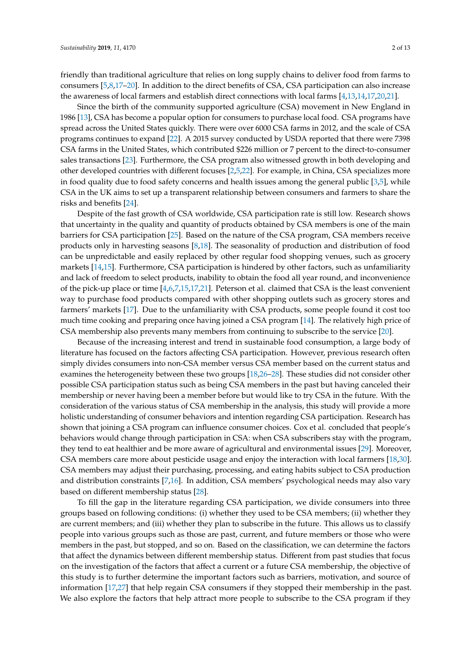friendly than traditional agriculture that relies on long supply chains to deliver food from farms to consumers [\[5,](#page-11-2)[8,](#page-11-4)[17–](#page-11-11)[20\]](#page-11-12). In addition to the direct benefits of CSA, CSA participation can also increase the awareness of local farmers and establish direct connections with local farms [\[4,](#page-11-1)[13,](#page-11-9)[14,](#page-11-8)[17,](#page-11-11)[20,](#page-11-12)[21\]](#page-11-13).

Since the birth of the community supported agriculture (CSA) movement in New England in 1986 [\[13\]](#page-11-9), CSA has become a popular option for consumers to purchase local food. CSA programs have spread across the United States quickly. There were over 6000 CSA farms in 2012, and the scale of CSA programs continues to expand [\[22\]](#page-11-14). A 2015 survey conducted by USDA reported that there were 7398 CSA farms in the United States, which contributed \$226 million or 7 percent to the direct-to-consumer sales transactions [\[23\]](#page-11-15). Furthermore, the CSA program also witnessed growth in both developing and other developed countries with different focuses [\[2,](#page-10-1)[5,](#page-11-2)[22\]](#page-11-14). For example, in China, CSA specializes more in food quality due to food safety concerns and health issues among the general public [\[3](#page-11-0)[,5\]](#page-11-2), while CSA in the UK aims to set up a transparent relationship between consumers and farmers to share the risks and benefits [\[24\]](#page-11-16).

Despite of the fast growth of CSA worldwide, CSA participation rate is still low. Research shows that uncertainty in the quality and quantity of products obtained by CSA members is one of the main barriers for CSA participation [\[25\]](#page-11-17). Based on the nature of the CSA program, CSA members receive products only in harvesting seasons [\[8](#page-11-4)[,18\]](#page-11-10). The seasonality of production and distribution of food can be unpredictable and easily replaced by other regular food shopping venues, such as grocery markets [\[14,](#page-11-8)[15\]](#page-11-18). Furthermore, CSA participation is hindered by other factors, such as unfamiliarity and lack of freedom to select products, inability to obtain the food all year round, and inconvenience of the pick-up place or time [\[4](#page-11-1)[,6](#page-11-3)[,7](#page-11-19)[,15](#page-11-18)[,17](#page-11-11)[,21\]](#page-11-13). Peterson et al. claimed that CSA is the least convenient way to purchase food products compared with other shopping outlets such as grocery stores and farmers' markets [\[17\]](#page-11-11). Due to the unfamiliarity with CSA products, some people found it cost too much time cooking and preparing once having joined a CSA program [\[14\]](#page-11-8). The relatively high price of CSA membership also prevents many members from continuing to subscribe to the service [\[20\]](#page-11-12).

Because of the increasing interest and trend in sustainable food consumption, a large body of literature has focused on the factors affecting CSA participation. However, previous research often simply divides consumers into non-CSA member versus CSA member based on the current status and examines the heterogeneity between these two groups [\[18](#page-11-10)[,26](#page-11-20)[–28\]](#page-12-0). These studies did not consider other possible CSA participation status such as being CSA members in the past but having canceled their membership or never having been a member before but would like to try CSA in the future. With the consideration of the various status of CSA membership in the analysis, this study will provide a more holistic understanding of consumer behaviors and intention regarding CSA participation. Research has shown that joining a CSA program can influence consumer choices. Cox et al. concluded that people's behaviors would change through participation in CSA: when CSA subscribers stay with the program, they tend to eat healthier and be more aware of agricultural and environmental issues [\[29\]](#page-12-1). Moreover, CSA members care more about pesticide usage and enjoy the interaction with local farmers [\[18,](#page-11-10)[30\]](#page-12-2). CSA members may adjust their purchasing, processing, and eating habits subject to CSA production and distribution constraints [\[7](#page-11-19)[,16\]](#page-11-21). In addition, CSA members' psychological needs may also vary based on different membership status [\[28\]](#page-12-0).

To fill the gap in the literature regarding CSA participation, we divide consumers into three groups based on following conditions: (i) whether they used to be CSA members; (ii) whether they are current members; and (iii) whether they plan to subscribe in the future. This allows us to classify people into various groups such as those are past, current, and future members or those who were members in the past, but stopped, and so on. Based on the classification, we can determine the factors that affect the dynamics between different membership status. Different from past studies that focus on the investigation of the factors that affect a current or a future CSA membership, the objective of this study is to further determine the important factors such as barriers, motivation, and source of information [\[17](#page-11-11)[,27\]](#page-12-3) that help regain CSA consumers if they stopped their membership in the past. We also explore the factors that help attract more people to subscribe to the CSA program if they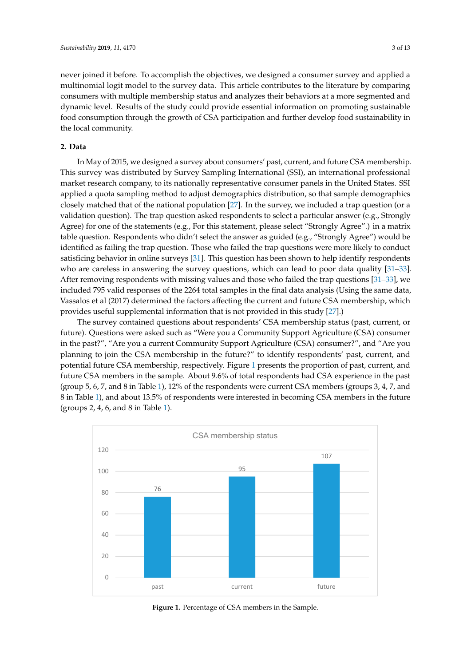never joined it before. To accomplish the objectives, we designed a consumer survey and applied a multinomial logit model to the survey data. This article contributes to the literature by comparing consumers with multiple membership status and analyzes their behaviors at a more segmented and dynamic level. Results of the study could provide essential information on promoting sustainable food consumption through the growth of CSA participation and further develop food sustainability in the local community.

## **2. Data**

In May of 2015, we designed a survey about consumers' past, current, and future CSA membership. This survey was distributed by Survey Sampling International (SSI), an international professional market research company, to its nationally representative consumer panels in the United States. SSI applied a quota sampling method to adjust demographics distribution, so that sample demographics closely matched that of the national population [\[27\]](#page-12-3). In the survey, we included a trap question (or a validation question). The trap question asked respondents to select a particular answer (e.g., Strongly Agree) for one of the statements (e.g., For this statement, please select "Strongly Agree".) in a matrix table question. Respondents who didn't select the answer as guided (e.g., "Strongly Agree") would be identified as failing the trap question. Those who failed the trap questions were more likely to conduct satisficing behavior in online surveys [\[31\]](#page-12-4). This question has been shown to help identify respondents who are careless in answering the survey questions, which can lead to poor data quality  $[31-33]$  $[31-33]$ . After removing respondents with missing values and those who failed the trap questions  $[31-33]$  $[31-33]$ , we included 795 valid responses of the 2264 total samples in the final data analysis (Using the same data, Vassalos et al (2017) determined the factors affecting the current and future CSA membership, which provides useful supplemental information that is not provided in this study [\[27\]](#page-12-3).) provided in this study [27].) In May of 2015, we designed a survey about consumers' past, current, and future CSA  $m_{\rm H1}$  may of 2015, we designed a survey about consumers  $p$ ast, current, and future CSA inembership.

The survey contained questions about respondents' CSA membership status (past, current, or The survey contained questions about respondents' CSA membership status (past, current, or future). Questions were asked such as "Were you a Community Support Agriculture (CSA) consumer future). Questions were asked such as "Were you a Community Support Agriculture (CSA) consumer in the past?", "Are you a current Community Support Agriculture (CSA) consumer?", and "Are you in the past?", "Are you a current Community Support Agriculture (CSA) consumer?", and "Are you planning to join the CSA membership in the future?" to identify respondents' past, current, and planning to join the CSA membership in the future?" to identify respondents' past, current, and potential future CSA membership, respectively. Figure 1 presents the proportion of past, current, and potential future CSA membership, respectively. Figure [1](#page-2-0) presents the proportion of past, current, and future CSA members in the sample. About 9.6% of total respondents had CSA experience in the past future CSA members in the sample. About 9.6% of total respondents had CSA experience in the past (group 5, 6, 7, and 8 in Table [1\)](#page-3-0), 12% of the respondents were current CSA members (groups 3, 4, 7, and 8 in Table [1\)](#page-3-0), and about 13.5% of respondents were interested in becoming CSA members in the future (groups 2, 4, 6, and 8 in Table [1\)](#page-3-0).

<span id="page-2-0"></span>

**Figure 1.** Percentage of CSA members in the Sample. **Figure 1.** Percentage of CSA members in the Sample.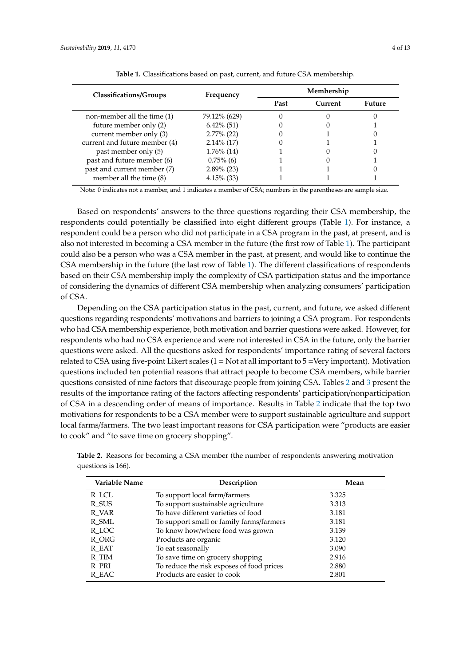|  | $4$ of 1 |  |
|--|----------|--|
|  |          |  |

<span id="page-3-0"></span>

| Membership                                                                                                                                      |      |         |
|-------------------------------------------------------------------------------------------------------------------------------------------------|------|---------|
|                                                                                                                                                 |      | Future  |
|                                                                                                                                                 |      |         |
|                                                                                                                                                 |      |         |
|                                                                                                                                                 |      |         |
|                                                                                                                                                 |      |         |
|                                                                                                                                                 |      |         |
|                                                                                                                                                 |      |         |
|                                                                                                                                                 |      |         |
|                                                                                                                                                 |      |         |
| Frequency<br>79.12% (629)<br>$6.42\%$ (51)<br>$2.77\%$ (22)<br>$2.14\%$ (17)<br>$1.76\%$ (14)<br>$0.75\%$ (6)<br>$2.89\%$ (23)<br>$4.15\%$ (33) | Past | Current |

**Table 1.** Classifications based on past, current, and future CSA membership.

Note: 0 indicates not a member, and 1 indicates a member of CSA; numbers in the parentheses are sample size.

Based on respondents' answers to the three questions regarding their CSA membership, the respondents could potentially be classified into eight different groups (Table [1\)](#page-3-0). For instance, a respondent could be a person who did not participate in a CSA program in the past, at present, and is also not interested in becoming a CSA member in the future (the first row of Table [1\)](#page-3-0). The participant could also be a person who was a CSA member in the past, at present, and would like to continue the CSA membership in the future (the last row of Table [1\)](#page-3-0). The different classifications of respondents based on their CSA membership imply the complexity of CSA participation status and the importance of considering the dynamics of different CSA membership when analyzing consumers' participation of CSA.

Depending on the CSA participation status in the past, current, and future, we asked different questions regarding respondents' motivations and barriers to joining a CSA program. For respondents who had CSA membership experience, both motivation and barrier questions were asked. However, for respondents who had no CSA experience and were not interested in CSA in the future, only the barrier questions were asked. All the questions asked for respondents' importance rating of several factors related to CSA using five-point Likert scales  $(1 = Not at all important to 5 =Very important)$ . Motivation questions included ten potential reasons that attract people to become CSA members, while barrier questions consisted of nine factors that discourage people from joining CSA. Tables [2](#page-3-1) and [3](#page-4-0) present the results of the importance rating of the factors affecting respondents' participation/nonparticipation of CSA in a descending order of means of importance. Results in Table [2](#page-3-1) indicate that the top two motivations for respondents to be a CSA member were to support sustainable agriculture and support local farms/farmers. The two least important reasons for CSA participation were "products are easier to cook" and "to save time on grocery shopping".

| Variable Name | Description                               | Mean  |  |
|---------------|-------------------------------------------|-------|--|
| R_LCL         | To support local farm/farmers             | 3.325 |  |
| R SUS         | To support sustainable agriculture        | 3.313 |  |
| R_VAR         | To have different varieties of food       | 3.181 |  |
| R SML         | To support small or family farms/farmers  | 3.181 |  |
| R_LOC         | To know how/where food was grown          | 3.139 |  |
| R ORG         | Products are organic                      | 3.120 |  |
| R EAT         | To eat seasonally                         | 3.090 |  |
| R TIM         | To save time on grocery shopping          | 2.916 |  |
| R PRI         | To reduce the risk exposes of food prices | 2.880 |  |
| R EAC         | Products are easier to cook               | 2.801 |  |

<span id="page-3-1"></span>**Table 2.** Reasons for becoming a CSA member (the number of respondents answering motivation questions is 166).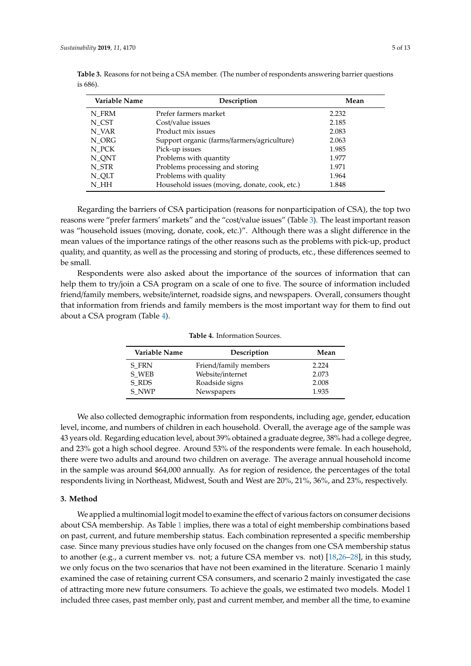| Variable Name | Description                                   | Mean  |
|---------------|-----------------------------------------------|-------|
| N FRM         | Prefer farmers market                         | 2.232 |
| N CST         | Cost/value issues                             | 2.185 |
| N VAR         | Product mix issues                            | 2.083 |
| N ORG         | Support organic (farms/farmers/agriculture)   | 2.063 |
| N PCK         | Pick-up issues                                | 1.985 |
| N_QNT         | Problems with quantity                        | 1.977 |
| N STR         | Problems processing and storing               | 1.971 |
| N_QLT         | Problems with quality                         | 1.964 |
| N HH          | Household issues (moving, donate, cook, etc.) | 1.848 |

<span id="page-4-0"></span>**Table 3.** Reasons for not being a CSA member. (The number of respondents answering barrier questions is 686).

Regarding the barriers of CSA participation (reasons for nonparticipation of CSA), the top two reasons were "prefer farmers' markets" and the "cost/value issues" (Table [3\)](#page-4-0). The least important reason was "household issues (moving, donate, cook, etc.)". Although there was a slight difference in the mean values of the importance ratings of the other reasons such as the problems with pick-up, product quality, and quantity, as well as the processing and storing of products, etc., these differences seemed to be small.

<span id="page-4-1"></span>Respondents were also asked about the importance of the sources of information that can help them to try/join a CSA program on a scale of one to five. The source of information included friend/family members, website/internet, roadside signs, and newspapers. Overall, consumers thought that information from friends and family members is the most important way for them to find out about a CSA program (Table [4\)](#page-4-1).

| Variable Name | Description           | Mean  |
|---------------|-----------------------|-------|
| S FRN         | Friend/family members | 2.224 |
| S WEB         | Website/internet      | 2.073 |
| S RDS         | Roadside signs        | 2.008 |
| S NWP         | Newspapers            | 1.935 |

**Table 4.** Information Sources.

We also collected demographic information from respondents, including age, gender, education level, income, and numbers of children in each household. Overall, the average age of the sample was 43 years old. Regarding education level, about 39% obtained a graduate degree, 38% had a college degree, and 23% got a high school degree. Around 53% of the respondents were female. In each household, there were two adults and around two children on average. The average annual household income in the sample was around \$64,000 annually. As for region of residence, the percentages of the total respondents living in Northeast, Midwest, South and West are 20%, 21%, 36%, and 23%, respectively.

## **3. Method**

We applied a multinomial logit model to examine the effect of various factors on consumer decisions about CSA membership. As Table [1](#page-3-0) implies, there was a total of eight membership combinations based on past, current, and future membership status. Each combination represented a specific membership case. Since many previous studies have only focused on the changes from one CSA membership status to another (e.g., a current member vs. not; a future CSA member vs. not) [\[18](#page-11-10)[,26–](#page-11-20)[28\]](#page-12-0), in this study, we only focus on the two scenarios that have not been examined in the literature. Scenario 1 mainly examined the case of retaining current CSA consumers, and scenario 2 mainly investigated the case of attracting more new future consumers. To achieve the goals, we estimated two models. Model 1 included three cases, past member only, past and current member, and member all the time, to examine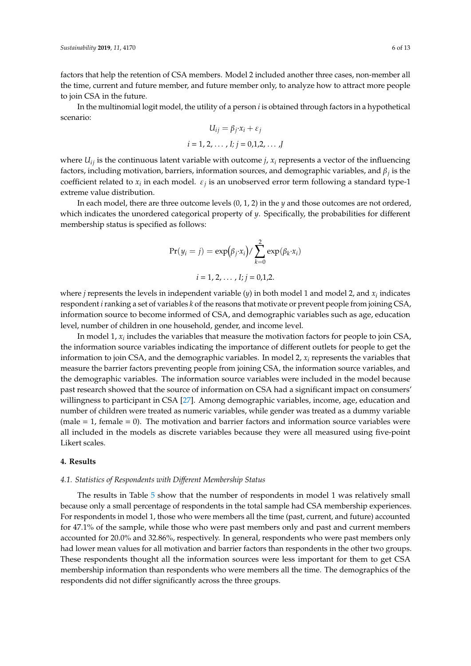factors that help the retention of CSA members. Model 2 included another three cases, non-member all the time, current and future member, and future member only, to analyze how to attract more people to join CSA in the future.

In the multinomial logit model, the utility of a person *i* is obtained through factors in a hypothetical scenario:

$$
U_{ij} = \beta_j \cdot x_i + \varepsilon_j
$$
  
*i* = 1, 2, ..., *I*; *j* = 0,1,2, ..., *J*

where  $U_{ij}$  is the continuous latent variable with outcome *j*,  $x_i$  represents a vector of the influencing factors, including motivation, barriers, information sources, and demographic variables, and β*<sup>j</sup>* is the coefficient related to  $x_i$  in each model.  $\varepsilon_j$  is an unobserved error term following a standard type-1 extreme value distribution.

In each model, there are three outcome levels (0, 1, 2) in the *y* and those outcomes are not ordered, which indicates the unordered categorical property of *y*. Specifically, the probabilities for different membership status is specified as follows:

$$
Pr(y_i = j) = exp(\beta_j \cdot x_i) / \sum_{k=0}^{2} exp(\beta_k \cdot x_i)
$$
  
 $i = 1, 2, ..., I; j = 0, 1, 2.$ 

where  $j$  represents the levels in independent variable  $(y)$  in both model 1 and model 2, and  $x_i$  indicates respondent *i*ranking a set of variables *k* of the reasons that motivate or prevent people from joining CSA, information source to become informed of CSA, and demographic variables such as age, education level, number of children in one household, gender, and income level.

In model 1,  $x_i$  includes the variables that measure the motivation factors for people to join CSA, the information source variables indicating the importance of different outlets for people to get the information to join CSA, and the demographic variables. In model 2, *x<sup>i</sup>* represents the variables that measure the barrier factors preventing people from joining CSA, the information source variables, and the demographic variables. The information source variables were included in the model because past research showed that the source of information on CSA had a significant impact on consumers' willingness to participant in CSA [\[27\]](#page-12-3). Among demographic variables, income, age, education and number of children were treated as numeric variables, while gender was treated as a dummy variable (male  $= 1$ , female  $= 0$ ). The motivation and barrier factors and information source variables were all included in the models as discrete variables because they were all measured using five-point Likert scales.

## **4. Results**

# *4.1. Statistics of Respondents with Di*ff*erent Membership Status*

The results in Table [5](#page-6-0) show that the number of respondents in model 1 was relatively small because only a small percentage of respondents in the total sample had CSA membership experiences. For respondents in model 1, those who were members all the time (past, current, and future) accounted for 47.1% of the sample, while those who were past members only and past and current members accounted for 20.0% and 32.86%, respectively. In general, respondents who were past members only had lower mean values for all motivation and barrier factors than respondents in the other two groups. These respondents thought all the information sources were less important for them to get CSA membership information than respondents who were members all the time. The demographics of the respondents did not differ significantly across the three groups.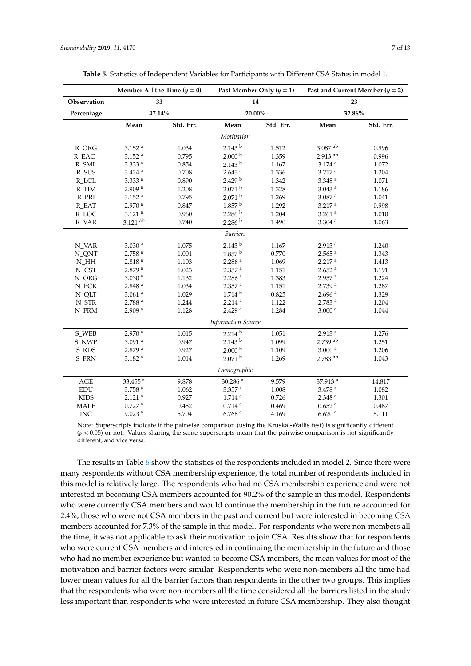<span id="page-6-0"></span>

|                    | Member All the Time $(y = 0)$<br>Past Member Only $(y = 1)$<br>33<br>14<br>47.14%<br>20.00% |           |                       |           | Past and Current Member $(y = 2)$<br>23 |           |
|--------------------|---------------------------------------------------------------------------------------------|-----------|-----------------------|-----------|-----------------------------------------|-----------|
| Observation        |                                                                                             |           |                       |           |                                         |           |
| Percentage         |                                                                                             |           | 32.86%                |           |                                         |           |
|                    | Mean                                                                                        | Std. Err. | Mean                  | Std. Err. | Mean                                    | Std. Err. |
|                    |                                                                                             |           | Motivation            |           |                                         |           |
| $R$ <sup>ORG</sup> | $3.152$ <sup>a</sup>                                                                        | 1.034     | 2.143 <sup>b</sup>    | 1.512     | 3.087 ab                                | 0.996     |
| R_EAC_             | $3.152$ <sup>a</sup>                                                                        | 0.795     | 2.000 <sup>b</sup>    | 1.359     | 2.913 ab                                | 0.996     |
| R_SML              | 3.333 <sup>a</sup>                                                                          | 0.854     | 2.143 <sup>b</sup>    | 1.167     | $3.174$ <sup>a</sup>                    | 1.072     |
| $R_SUS$            | $3.424$ <sup>a</sup>                                                                        | 0.708     | 2.643 <sup>a</sup>    | 1.336     | 3.217 <sup>a</sup>                      | 1.204     |
| R_LCL              | 3.333a                                                                                      | 0.890     | 2.429 <sup>b</sup>    | 1.342     | $3.348$ $^{\rm a}$                      | 1.071     |
| R_TIM              | 2.909a                                                                                      | 1.208     | 2.071 <sup>b</sup>    | 1.328     | $3.043$ $^{\rm a}$                      | 1.186     |
| R_PRI              | $3.152$ <sup>a</sup>                                                                        | 0.795     | 2.071 <sup>b</sup>    | 1.269     | 3.087 <sup>a</sup>                      | 1.041     |
| R_EAT              | 2.970a                                                                                      | 0.847     | 1.857 <sup>b</sup>    | 1.292     | 3.217 <sup>a</sup>                      | 0.998     |
| R_LOC              | $3.121$ <sup>a</sup>                                                                        | 0.960     | 2.286 <sup>b</sup>    | 1.204     | $3.261$ <sup>a</sup>                    | 1.010     |
| R VAR              | $3.121$ <sup>ab</sup>                                                                       | 0.740     | 2.286 <sup>b</sup>    | 1.490     | $3.304$ <sup>a</sup>                    | 1.063     |
|                    |                                                                                             |           | <b>Barriers</b>       |           |                                         |           |
| N_VAR              | 3.030 <sup>a</sup>                                                                          | 1.075     | 2.143 <sup>b</sup>    | 1.167     | 2.913 <sup>a</sup>                      | 1.240     |
| N_QNT              | $2.758$ <sup>a</sup>                                                                        | 1.001     | 1.857 <sup>b</sup>    | 0.770     | $2.565$ <sup>a</sup>                    | 1.343     |
| $N_HH$             | 2.818 <sup>a</sup>                                                                          | 1.103     | 2.286 <sup>a</sup>    | 1.069     | 2.217 <sup>a</sup>                      | 1.413     |
| N_CST              | 2.879 <sup>a</sup>                                                                          | 1.023     | $2.357$ <sup>a</sup>  | 1.151     | 2.652 <sup>a</sup>                      | 1.191     |
| N_ORG              | 3.030 <sup>a</sup>                                                                          | 1.132     | $2.286$ <sup>a</sup>  | 1.383     | $2.957$ <sup>a</sup>                    | 1.224     |
| $N_PCK$            | $2.848$ <sup>a</sup>                                                                        | 1.034     | 2.357 <sup>a</sup>    | 1.151     | 2.739 a                                 | 1.287     |
| N_QLT              | $3.061$ <sup>a</sup>                                                                        | 1.029     | 1.714 <sup>b</sup>    | 0.825     | $2.696$ <sup>a</sup>                    | 1.329     |
| N STR              | 2.788 <sup>a</sup>                                                                          | 1.244     | 2.214 <sup>a</sup>    | 1.122     | $2.783$ <sup>a</sup>                    | 1.204     |
| N_FRM              | 2.909 <sup>a</sup>                                                                          | 1.128     | 2.429a                | 1.284     | 3.000 <sup>a</sup>                      | 1.044     |
|                    | <b>Information Source</b>                                                                   |           |                       |           |                                         |           |
| S_WEB              | 2.970 <sup>a</sup>                                                                          | 1.015     | 2.214 <sup>b</sup>    | 1.051     | $2.913$ $^{\rm a}$                      | 1.276     |
| S_NWP              | $3.091$ <sup>a</sup>                                                                        | 0.947     | 2.143 <sup>b</sup>    | 1.099     | $2.739$ <sup>ab</sup>                   | 1.251     |
| S_RDS              | 2.879 <sup>a</sup>                                                                          | 0.927     | 2.000 <sup>b</sup>    | 1.109     | 3.000 <sup>a</sup>                      | 1.206     |
| S_FRN              | 3.182 <sup>a</sup>                                                                          | 1.014     | 2.071 <sup>b</sup>    | 1.269     | 2.783 ab                                | 1.043     |
| Demographic        |                                                                                             |           |                       |           |                                         |           |
| $\rm{AGE}$         | 33.455 $a$                                                                                  | 9.878     | $30.286$ <sup>a</sup> | 9.579     | 37.913 <sup>a</sup>                     | 14.817    |
| EDU                | $3.758$ <sup>a</sup>                                                                        | 1.062     | $3.357$ <sup>a</sup>  | 1.008     | 3.478 <sup>a</sup>                      | 1.082     |
| $\rm KIDS$         | $2.121$ <sup>a</sup>                                                                        | 0.927     | 1.714 <sup>a</sup>    | 0.726     | 2.348 <sup>a</sup>                      | 1.301     |
| <b>MALE</b>        | $0.727$ <sup>a</sup>                                                                        | 0.452     | $0.714$ <sup>a</sup>  | 0.469     | $0.652$ <sup>a</sup>                    | 0.487     |
| <b>INC</b>         | $9.023$ <sup>a</sup>                                                                        | 5.704     | $6.768$ <sup>a</sup>  | 4.169     | 6.620a                                  | 5.111     |

Note: Superscripts indicate if the pairwise comparison (using the Kruskal-Wallis test) is significantly different  $(p < 0.05)$  or not. Values sharing the same superscripts mean that the pairwise comparison is not significantly different, and vice versa.

The results in Table [6](#page-7-0) show the statistics of the respondents included in model 2. Since there were many respondents without CSA membership experience, the total number of respondents included in this model is relatively large. The respondents who had no CSA membership experience and were not interested in becoming CSA members accounted for 90.2% of the sample in this model. Respondents who were currently CSA members and would continue the membership in the future accounted for 2.4%; those who were not CSA members in the past and current but were interested in becoming CSA members accounted for 7.3% of the sample in this model. For respondents who were non-members all the time, it was not applicable to ask their motivation to join CSA. Results show that for respondents who were current CSA members and interested in continuing the membership in the future and those who had no member experience but wanted to become CSA members, the mean values for most of the motivation and barrier factors were similar. Respondents who were non-members all the time had lower mean values for all the barrier factors than respondents in the other two groups. This implies that the respondents who were non-members all the time considered all the barriers listed in the study less important than respondents who were interested in future CSA membership. They also thought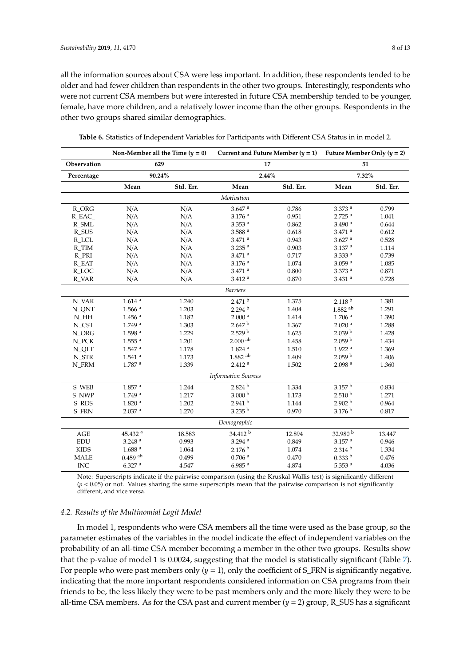all the information sources about CSA were less important. In addition, these respondents tended to be older and had fewer children than respondents in the other two groups. Interestingly, respondents who were not current CSA members but were interested in future CSA membership tended to be younger, female, have more children, and a relatively lower income than the other groups. Respondents in the other two groups shared similar demographics.

|                            | Non-Member all the Time $(y = 0)$ |           | Current and Future Member $(y = 1)$ |           | Future Member Only $(y = 2)$ |           |
|----------------------------|-----------------------------------|-----------|-------------------------------------|-----------|------------------------------|-----------|
| Observation                | 629                               |           | 17                                  |           | 51                           |           |
| Percentage                 | 90.24%                            |           | 2.44%                               |           | 7.32%                        |           |
|                            | Mean                              | Std. Err. | Mean                                | Std. Err. | Mean                         | Std. Err. |
|                            |                                   |           | Motivation                          |           |                              |           |
| R_ORG                      | N/A                               | N/A       | $3.647$ <sup>a</sup>                | 0.786     | 3.373 <sup>a</sup>           | 0.799     |
| R_EAC_                     | N/A                               | N/A       | $3.176$ <sup>a</sup>                | 0.951     | 2.725 <sup>a</sup>           | 1.041     |
| R_SML                      | N/A                               | N/A       | $3.353$ <sup>a</sup>                | 0.862     | 3.490a                       | 0.644     |
| R_SUS                      | N/A                               | N/A       | 3.588 <sup>a</sup>                  | 0.618     | $3.471$ <sup>a</sup>         | 0.612     |
| R_LCL                      | N/A                               | N/A       | $3.471$ <sup>a</sup>                | 0.943     | $3.627$ <sup>a</sup>         | 0.528     |
| R_TIM                      | N/A                               | N/A       | $3.235$ <sup>a</sup>                | 0.903     | 3.137 <sup>a</sup>           | 1.114     |
| R_PRI                      | N/A                               | N/A       | $3.471$ <sup>a</sup>                | 0.717     | 3.333 <sup>a</sup>           | 0.739     |
| R EAT                      | N/A                               | N/A       | 3.176a                              | 1.074     | $3.059$ <sup>a</sup>         | 1.085     |
| R_LOC                      | N/A                               | N/A       | $3.471$ <sup>a</sup>                | 0.800     | $3.373$ <sup>a</sup>         | 0.871     |
| R_VAR                      | N/A                               | N/A       | 3.412a                              | 0.870     | $3.431$ <sup>a</sup>         | 0.728     |
|                            |                                   |           | <b>Barriers</b>                     |           |                              |           |
| N_VAR                      | $1.614$ <sup>a</sup>              | 1.240     | 2.471 <sup>b</sup>                  | 1.375     | 2.118 <sup>b</sup>           | 1.381     |
| N_QNT                      | $1.566$ <sup>a</sup>              | 1.203     | 2.294 <sup>b</sup>                  | 1.404     | $1.882$ <sup>ab</sup>        | 1.291     |
| $N_HH$                     | $1.456$ <sup>a</sup>              | 1.182     | 2.000 <sup>a</sup>                  | 1.414     | 1.706 <sup>a</sup>           | 1.390     |
| N_CST                      | 1.749a                            | 1.303     | 2.647 <sup>b</sup>                  | 1.367     | 2.020 <sup>a</sup>           | 1.288     |
| N_ORG                      | 1.598 <sup>a</sup>                | 1.229     | 2.529 <sup>b</sup>                  | 1.625     | 2.039 <sup>b</sup>           | 1.428     |
| $N_PCK$                    | $1.555$ <sup>a</sup>              | 1.201     | $2.000$ $^{\rm ab}$                 | 1.458     | 2.059 <sup>b</sup>           | 1.434     |
| N_QLT                      | $1.547$ <sup>a</sup>              | 1.178     | $1.824$ <sup>a</sup>                | 1.510     | 1.922 <sup>a</sup>           | 1.369     |
| N_STR                      | $1.541$ <sup>a</sup>              | 1.173     | $1.882$ <sup>ab</sup>               | 1.409     | 2.059 <sup>b</sup>           | 1.406     |
| N_FRM                      | 1.787 <sup>a</sup>                | 1.339     | 2.412 <sup>a</sup>                  | 1.502     | 2.098 <sup>a</sup>           | 1.360     |
| <b>Information Sources</b> |                                   |           |                                     |           |                              |           |
| S_WEB                      | $1.857$ <sup>a</sup>              | 1.244     | 2.824 <sup>b</sup>                  | 1.334     | 3.157 <sup>b</sup>           | 0.834     |
| S_NWP                      | 1.749a                            | 1.217     | 3.000 <sup>b</sup>                  | 1.173     | 2.510 <sup>b</sup>           | 1.271     |
| S_RDS                      | 1.820 <sup>a</sup>                | 1.202     | 2.941 <sup>b</sup>                  | 1.144     | 2.902 <sup>b</sup>           | 0.964     |
| <b>S_FRN</b>               | 2.037 <sup>a</sup>                | 1.270     | 3.235 <sup>b</sup>                  | 0.970     | 3.176 <sup>b</sup>           | 0.817     |
| Demographic                |                                   |           |                                     |           |                              |           |
| AGE                        | 45.432 <sup>a</sup>               | 18.583    | 34.412 b                            | 12.894    | 32.980 <sup>b</sup>          | 13.447    |
| <b>EDU</b>                 | $3.248$ <sup>a</sup>              | 0.993     | 3.294 $a$                           | 0.849     | $3.157$ <sup>a</sup>         | 0.946     |
| <b>KIDS</b>                | 1.688 <sup>a</sup>                | 1.064     | 2.176 <sup>b</sup>                  | 1.074     | 2.314 <sup>b</sup>           | 1.334     |
| <b>MALE</b>                | $0.459$ <sup>ab</sup>             | 0.499     | 0.706 <sup>a</sup>                  | 0.470     | 0.333 b                      | 0.476     |
| <b>INC</b>                 | $6.327$ <sup>a</sup>              | 4.547     | $6.985$ <sup>a</sup>                | 4.874     | 5.353 $a$                    | 4.036     |

<span id="page-7-0"></span>

Note: Superscripts indicate if the pairwise comparison (using the Kruskal-Wallis test) is significantly different  $(p < 0.05)$  or not. Values sharing the same superscripts mean that the pairwise comparison is not significantly different, and vice versa.

#### *4.2. Results of the Multinomial Logit Model*

In model 1, respondents who were CSA members all the time were used as the base group, so the parameter estimates of the variables in the model indicate the effect of independent variables on the probability of an all-time CSA member becoming a member in the other two groups. Results show that the p-value of model 1 is 0.0024, suggesting that the model is statistically significant (Table [7\)](#page-8-0). For people who were past members only  $(y = 1)$ , only the coefficient of S\_FRN is significantly negative, indicating that the more important respondents considered information on CSA programs from their friends to be, the less likely they were to be past members only and the more likely they were to be all-time CSA members. As for the CSA past and current member  $(y = 2)$  group, R\_SUS has a significant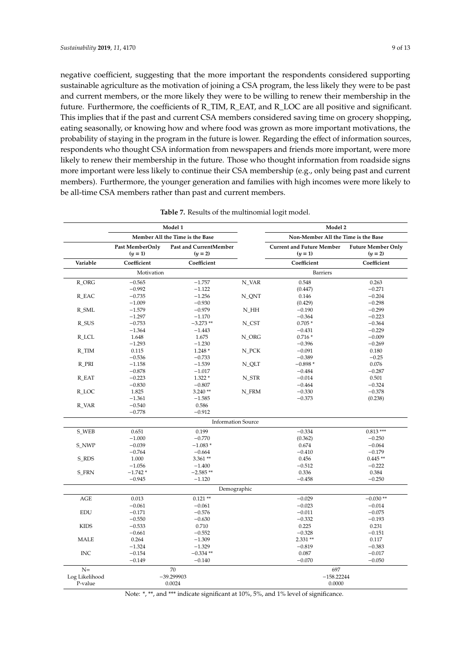negative coefficient, suggesting that the more important the respondents considered supporting sustainable agriculture as the motivation of joining a CSA program, the less likely they were to be past and current members, or the more likely they were to be willing to renew their membership in the future. Furthermore, the coefficients of R\_TIM, R\_EAT, and R\_LOC are all positive and significant. This implies that if the past and current CSA members considered saving time on grocery shopping, eating seasonally, or knowing how and where food was grown as more important motivations, the probability of staying in the program in the future is lower. Regarding the effect of information sources, respondents who thought CSA information from newspapers and friends more important, were more likely to renew their membership in the future. Those who thought information from roadside signs more important were less likely to continue their CSA membership (e.g., only being past and current members). Furthermore, the younger generation and families with high incomes were more likely to be all-time CSA members rather than past and current members.

<span id="page-8-0"></span>

|                |                              | Model 1                             |        | Model 2                                       |                                        |
|----------------|------------------------------|-------------------------------------|--------|-----------------------------------------------|----------------------------------------|
|                |                              | Member All the Time is the Base     |        | Non-Member All the Time is the Base           |                                        |
|                | Past MemberOnly<br>$(y = 1)$ | Past and CurrentMember<br>$(y = 2)$ |        | <b>Current and Future Member</b><br>$(y = 1)$ | <b>Future Member Only</b><br>$(y = 2)$ |
| Variable       | Coefficient                  | Coefficient                         |        | Coefficient                                   | Coefficient                            |
|                | Motivation                   |                                     |        | <b>Barriers</b>                               |                                        |
| R_ORG          | $-0.565$                     | $-1.757$                            | N_VAR  | 0.548                                         | 0.263                                  |
|                | $-0.992$                     | $-1.122$                            |        | (0.447)                                       | $-0.271$                               |
| R EAC          | $-0.735$                     | $-1.256$                            | N ONT  | 0.146                                         | $-0.204$                               |
|                | $-1.009$                     | $-0.930$                            |        | (0.429)                                       | $-0.298$                               |
| R_SML          | $-1.579$                     | $-0.979$                            | $N_HH$ | $-0.190$                                      | $-0.299$                               |
|                | $-1.297$                     | $-1.170$                            |        | $-0.364$                                      | $-0.223$                               |
| R_SUS          | $-0.753$                     | $-3.273**$                          | N_CST  | $0.705*$                                      | $-0.364$                               |
|                | $-1.364$                     | $-1.443$                            |        | $-0.431$                                      | $-0.229$                               |
| R_LCL          | 1.648                        | 1.675                               | N_ORG  | $0.716*$                                      | $-0.009$                               |
|                | $-1.293$                     | $-1.230$                            |        | $-0.396$                                      | $-0.269$                               |
| R TIM          | 0.115                        | $1.248*$                            | N PCK  | $-0.091$                                      | 0.180                                  |
|                | $-0.536$                     | $-0.733$                            |        | $-0.389$                                      | $-0.25$                                |
| R_PRI          | $-1.158$                     | $-1.539$                            | N_QLT  | $-0.898*$                                     | 0.076                                  |
|                | $-0.878$                     | $-1.017$                            |        | $-0.484$                                      | $-0.287$                               |
| R_EAT          | $-0.223$                     | $1.322*$                            | N_STR  | $-0.014$                                      | 0.501                                  |
|                | $-0.830$                     | $-0.807$                            |        | $-0.464$                                      | $-0.324$                               |
|                | 1.825                        | $3.240**$                           |        | $-0.330$                                      | $-0.378$                               |
| R LOC          |                              |                                     | N_FRM  |                                               |                                        |
|                | $-1.361$                     | $-1.585$                            |        | $-0.373$                                      | (0.238)                                |
| R_VAR          | $-0.540$<br>$-0.778$         | 0.586<br>$-0.912$                   |        |                                               |                                        |
|                |                              |                                     |        |                                               |                                        |
|                |                              | <b>Information Source</b>           |        |                                               |                                        |
| S_WEB          | 0.651                        | 0.199                               |        | $-0.334$                                      | $0.813***$                             |
|                | $-1.000$                     | $-0.770$                            |        | (0.362)                                       | $-0.250$                               |
| S NWP          | $-0.039$                     | $-1.083*$                           |        | 0.674                                         | $-0.064$                               |
|                | $-0.764$                     | $-0.664$                            |        | $-0.410$                                      | $-0.179$                               |
| S RDS          | 1.000                        | $3.361**$                           |        | 0.456                                         | $0.445**$                              |
|                | $-1.056$                     | $-1.400$                            |        | $-0.512$                                      | $-0.222$                               |
| <b>S_FRN</b>   | $-1.742*$                    | $-2.585**$                          |        | 0.336                                         | 0.384                                  |
|                | $-0.945$                     | $-1.120$                            |        | $-0.458$                                      | $-0.250$                               |
|                |                              | Demographic                         |        |                                               |                                        |
| AGE            | 0.013                        | $0.121**$                           |        | $-0.029$                                      | $-0.030**$                             |
|                | $-0.061$                     | $-0.061$                            |        | $-0.023$                                      | $-0.014$                               |
| <b>EDU</b>     | $-0.171$                     | $-0.576$                            |        | $-0.011$                                      | $-0.075$                               |
|                | $-0.550$                     | $-0.630$                            |        | $-0.332$                                      | $-0.193$                               |
| <b>KIDS</b>    | $-0.533$                     | 0.710                               |        | 0.225                                         | 0.231                                  |
|                | $-0.661$                     | $-0.552$                            |        | $-0.328$                                      | $-0.151$                               |
| <b>MALE</b>    | 0.264                        | $-1.309$                            |        | $2.331**$                                     | 0.117                                  |
|                | $-1.324$                     | $-1.329$                            |        | $-0.819$                                      | $-0.383$                               |
| <b>INC</b>     | $-0.154$                     | $-0.334**$                          |        | 0.087                                         | $-0.017$                               |
|                | $-0.149$                     | $-0.140$                            |        | $-0.070$                                      | $-0.050$                               |
| $N =$          |                              | 70                                  |        | 697                                           |                                        |
| Log Likelihood |                              | $-39.299903$                        |        | $-158.22244$                                  |                                        |
| P-value        |                              | 0.0024                              |        | 0.0000                                        |                                        |

Note: \*, \*\*, and \*\*\* indicate significant at 10%, 5%, and 1% level of significance.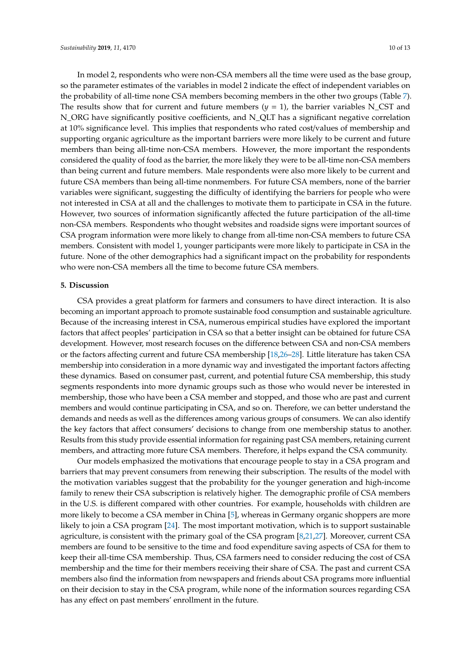In model 2, respondents who were non-CSA members all the time were used as the base group, so the parameter estimates of the variables in model 2 indicate the effect of independent variables on the probability of all-time none CSA members becoming members in the other two groups (Table [7\)](#page-8-0). The results show that for current and future members  $(y = 1)$ , the barrier variables N\_CST and N\_ORG have significantly positive coefficients, and N\_QLT has a significant negative correlation at 10% significance level. This implies that respondents who rated cost/values of membership and supporting organic agriculture as the important barriers were more likely to be current and future members than being all-time non-CSA members. However, the more important the respondents considered the quality of food as the barrier, the more likely they were to be all-time non-CSA members than being current and future members. Male respondents were also more likely to be current and future CSA members than being all-time nonmembers. For future CSA members, none of the barrier variables were significant, suggesting the difficulty of identifying the barriers for people who were not interested in CSA at all and the challenges to motivate them to participate in CSA in the future. However, two sources of information significantly affected the future participation of the all-time non-CSA members. Respondents who thought websites and roadside signs were important sources of CSA program information were more likely to change from all-time non-CSA members to future CSA members. Consistent with model 1, younger participants were more likely to participate in CSA in the future. None of the other demographics had a significant impact on the probability for respondents who were non-CSA members all the time to become future CSA members.

#### **5. Discussion**

CSA provides a great platform for farmers and consumers to have direct interaction. It is also becoming an important approach to promote sustainable food consumption and sustainable agriculture. Because of the increasing interest in CSA, numerous empirical studies have explored the important factors that affect peoples' participation in CSA so that a better insight can be obtained for future CSA development. However, most research focuses on the difference between CSA and non-CSA members or the factors affecting current and future CSA membership [\[18](#page-11-10)[,26–](#page-11-20)[28\]](#page-12-0). Little literature has taken CSA membership into consideration in a more dynamic way and investigated the important factors affecting these dynamics. Based on consumer past, current, and potential future CSA membership, this study segments respondents into more dynamic groups such as those who would never be interested in membership, those who have been a CSA member and stopped, and those who are past and current members and would continue participating in CSA, and so on. Therefore, we can better understand the demands and needs as well as the differences among various groups of consumers. We can also identify the key factors that affect consumers' decisions to change from one membership status to another. Results from this study provide essential information for regaining past CSA members, retaining current members, and attracting more future CSA members. Therefore, it helps expand the CSA community.

Our models emphasized the motivations that encourage people to stay in a CSA program and barriers that may prevent consumers from renewing their subscription. The results of the model with the motivation variables suggest that the probability for the younger generation and high-income family to renew their CSA subscription is relatively higher. The demographic profile of CSA members in the U.S. is different compared with other countries. For example, households with children are more likely to become a CSA member in China [\[5\]](#page-11-2), whereas in Germany organic shoppers are more likely to join a CSA program [\[24\]](#page-11-16). The most important motivation, which is to support sustainable agriculture, is consistent with the primary goal of the CSA program [\[8](#page-11-4)[,21](#page-11-13)[,27\]](#page-12-3). Moreover, current CSA members are found to be sensitive to the time and food expenditure saving aspects of CSA for them to keep their all-time CSA membership. Thus, CSA farmers need to consider reducing the cost of CSA membership and the time for their members receiving their share of CSA. The past and current CSA members also find the information from newspapers and friends about CSA programs more influential on their decision to stay in the CSA program, while none of the information sources regarding CSA has any effect on past members' enrollment in the future.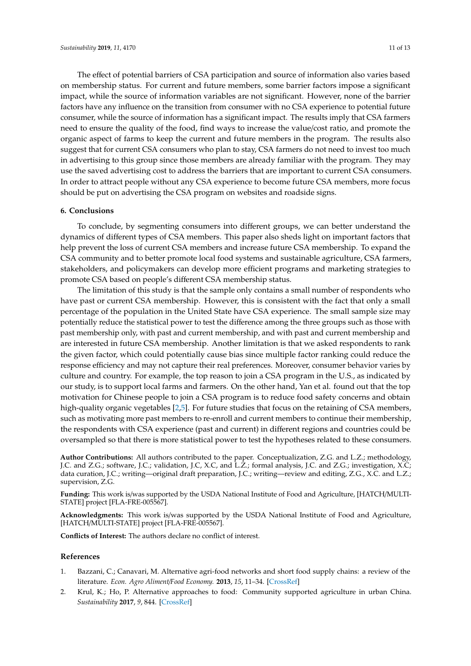The effect of potential barriers of CSA participation and source of information also varies based on membership status. For current and future members, some barrier factors impose a significant impact, while the source of information variables are not significant. However, none of the barrier factors have any influence on the transition from consumer with no CSA experience to potential future consumer, while the source of information has a significant impact. The results imply that CSA farmers need to ensure the quality of the food, find ways to increase the value/cost ratio, and promote the organic aspect of farms to keep the current and future members in the program. The results also suggest that for current CSA consumers who plan to stay, CSA farmers do not need to invest too much in advertising to this group since those members are already familiar with the program. They may use the saved advertising cost to address the barriers that are important to current CSA consumers. In order to attract people without any CSA experience to become future CSA members, more focus should be put on advertising the CSA program on websites and roadside signs.

## **6. Conclusions**

To conclude, by segmenting consumers into different groups, we can better understand the dynamics of different types of CSA members. This paper also sheds light on important factors that help prevent the loss of current CSA members and increase future CSA membership. To expand the CSA community and to better promote local food systems and sustainable agriculture, CSA farmers, stakeholders, and policymakers can develop more efficient programs and marketing strategies to promote CSA based on people's different CSA membership status.

The limitation of this study is that the sample only contains a small number of respondents who have past or current CSA membership. However, this is consistent with the fact that only a small percentage of the population in the United State have CSA experience. The small sample size may potentially reduce the statistical power to test the difference among the three groups such as those with past membership only, with past and current membership, and with past and current membership and are interested in future CSA membership. Another limitation is that we asked respondents to rank the given factor, which could potentially cause bias since multiple factor ranking could reduce the response efficiency and may not capture their real preferences. Moreover, consumer behavior varies by culture and country. For example, the top reason to join a CSA program in the U.S., as indicated by our study, is to support local farms and farmers. On the other hand, Yan et al. found out that the top motivation for Chinese people to join a CSA program is to reduce food safety concerns and obtain high-quality organic vegetables [\[2](#page-10-1)[,5\]](#page-11-2). For future studies that focus on the retaining of CSA members, such as motivating more past members to re-enroll and current members to continue their membership, the respondents with CSA experience (past and current) in different regions and countries could be oversampled so that there is more statistical power to test the hypotheses related to these consumers.

**Author Contributions:** All authors contributed to the paper. Conceptualization, Z.G. and L.Z.; methodology, J.C. and Z.G.; software, J.C.; validation, J.C, X.C, and L.Z.; formal analysis, J.C. and Z.G.; investigation, X.C; data curation, J.C.; writing—original draft preparation, J.C.; writing—review and editing, Z.G., X.C. and L.Z.; supervision, Z.G.

**Funding:** This work is/was supported by the USDA National Institute of Food and Agriculture, [HATCH/MULTI-STATE] project [FLA-FRE-005567].

**Acknowledgments:** This work is/was supported by the USDA National Institute of Food and Agriculture, [HATCH/MULTI-STATE] project [FLA-FRE-005567].

**Conflicts of Interest:** The authors declare no conflict of interest.

## **References**

- <span id="page-10-0"></span>1. Bazzani, C.; Canavari, M. Alternative agri-food networks and short food supply chains: a review of the literature. *Econ. Agro Aliment*/*Food Economy.* **2013**, *15*, 11–34. [\[CrossRef\]](http://dx.doi.org/10.3280/ECAG2013-002002)
- <span id="page-10-1"></span>2. Krul, K.; Ho, P. Alternative approaches to food: Community supported agriculture in urban China. *Sustainability* **2017**, *9*, 844. [\[CrossRef\]](http://dx.doi.org/10.3390/su9050844)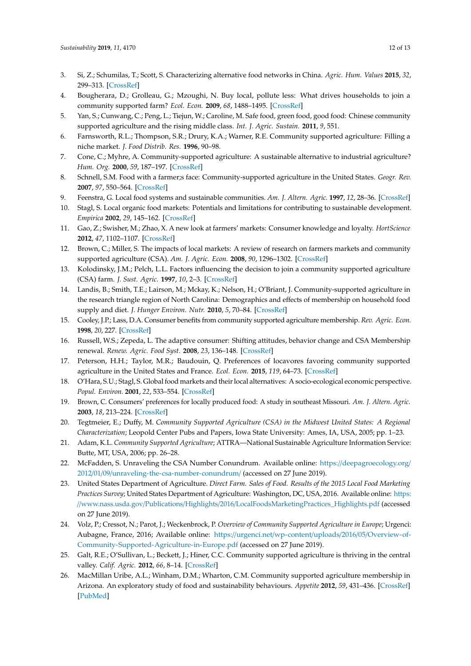- <span id="page-11-0"></span>3. Si, Z.; Schumilas, T.; Scott, S. Characterizing alternative food networks in China. *Agric. Hum. Values* **2015**, *32*, 299–313. [\[CrossRef\]](http://dx.doi.org/10.1007/s10460-014-9530-6)
- <span id="page-11-1"></span>4. Bougherara, D.; Grolleau, G.; Mzoughi, N. Buy local, pollute less: What drives households to join a community supported farm? *Ecol. Econ.* **2009**, *68*, 1488–1495. [\[CrossRef\]](http://dx.doi.org/10.1016/j.ecolecon.2008.10.009)
- <span id="page-11-2"></span>5. Yan, S.; Cunwang, C.; Peng, L.; Tiejun, W.; Caroline, M. Safe food, green food, good food: Chinese community supported agriculture and the rising middle class. *Int. J. Agric. Sustain.* **2011**, *9*, 551.
- <span id="page-11-3"></span>6. Farnsworth, R.L.; Thompson, S.R.; Drury, K.A.; Warner, R.E. Community supported agriculture: Filling a niche market. *J. Food Distrib. Res.* **1996**, 90–98.
- <span id="page-11-19"></span>7. Cone, C.; Myhre, A. Community-supported agriculture: A sustainable alternative to industrial agriculture? *Hum. Org.* **2000**, *59*, 187–197. [\[CrossRef\]](http://dx.doi.org/10.17730/humo.59.2.715203t206g2j153)
- <span id="page-11-4"></span>8. Schnell, S.M. Food with a farmer;s face: Community-supported agriculture in the United States. *Geogr. Rev.* **2007**, *97*, 550–564. [\[CrossRef\]](http://dx.doi.org/10.1111/j.1931-0846.2007.tb00412.x)
- <span id="page-11-5"></span>9. Feenstra, G. Local food systems and sustainable communities. *Am. J. Altern. Agric.* **1997**, *12*, 28–36. [\[CrossRef\]](http://dx.doi.org/10.1017/S0889189300007165)
- 10. Stagl, S. Local organic food markets: Potentials and limitations for contributing to sustainable development. *Empirica* **2002**, *29*, 145–162. [\[CrossRef\]](http://dx.doi.org/10.1023/A:1015656400998)
- <span id="page-11-6"></span>11. Gao, Z.; Swisher, M.; Zhao, X. A new look at farmers' markets: Consumer knowledge and loyalty. *HortScience* **2012**, *47*, 1102–1107. [\[CrossRef\]](http://dx.doi.org/10.21273/HORTSCI.47.8.1102)
- <span id="page-11-7"></span>12. Brown, C.; Miller, S. The impacts of local markets: A review of research on farmers markets and community supported agriculture (CSA). *Am. J. Agric. Econ.* **2008**, *90*, 1296–1302. [\[CrossRef\]](http://dx.doi.org/10.1111/j.1467-8276.2008.01220.x)
- <span id="page-11-9"></span>13. Kolodinsky, J.M.; Pelch, L.L. Factors influencing the decision to join a community supported agriculture (CSA) farm. *J. Sust. Agric.* **1997**, *10*, 2–3. [\[CrossRef\]](http://dx.doi.org/10.1300/J064v10n02_11)
- <span id="page-11-8"></span>14. Landis, B.; Smith, T.E.; Lairson, M.; Mckay, K.; Nelson, H.; O'Briant, J. Community-supported agriculture in the research triangle region of North Carolina: Demographics and effects of membership on household food supply and diet. *J. Hunger Environ. Nutr.* **2010**, *5*, 70–84. [\[CrossRef\]](http://dx.doi.org/10.1080/19320240903574403)
- <span id="page-11-18"></span>15. Cooley, J.P.; Lass, D.A. Consumer benefits from community supported agriculture membership. *Rev. Agric. Econ.* **1998**, *20*, 227. [\[CrossRef\]](http://dx.doi.org/10.2307/1349547)
- <span id="page-11-21"></span>16. Russell, W.S.; Zepeda, L. The adaptive consumer: Shifting attitudes, behavior change and CSA Membership renewal. *Renew. Agric. Food Syst.* **2008**, *23*, 136–148. [\[CrossRef\]](http://dx.doi.org/10.1017/S1742170507001962)
- <span id="page-11-11"></span>17. Peterson, H.H.; Taylor, M.R.; Baudouin, Q. Preferences of locavores favoring community supported agriculture in the United States and France. *Ecol. Econ.* **2015**, *119*, 64–73. [\[CrossRef\]](http://dx.doi.org/10.1016/j.ecolecon.2015.07.013)
- <span id="page-11-10"></span>18. O'Hara, S.U.; Stagl, S. Global food markets and their local alternatives: A socio-ecological economic perspective. *Popul. Environ.* **2001**, *22*, 533–554. [\[CrossRef\]](http://dx.doi.org/10.1023/A:1010795305097)
- 19. Brown, C. Consumers' preferences for locally produced food: A study in southeast Missouri. *Am. J. Altern. Agric.* **2003**, *18*, 213–224. [\[CrossRef\]](http://dx.doi.org/10.1079/AJAA200353)
- <span id="page-11-12"></span>20. Tegtmeier, E.; Duffy, M. *Community Supported Agriculture (CSA) in the Midwest United States: A Regional Characterization*; Leopold Center Pubs and Papers, Iowa State University: Ames, IA, USA, 2005; pp. 1–23.
- <span id="page-11-13"></span>21. Adam, K.L. *Community Supported Agriculture*; ATTRA—National Sustainable Agriculture Information Service: Butte, MT, USA, 2006; pp. 26–28.
- <span id="page-11-14"></span>22. McFadden, S. Unraveling the CSA Number Conundrum. Available online: https://[deepagroecology.org](https://deepagroecology.org/2012/01/09/unraveling-the-csa-number-conundrum/)/ 2012/01/09/[unraveling-the-csa-number-conundrum](https://deepagroecology.org/2012/01/09/unraveling-the-csa-number-conundrum/)/ (accessed on 27 June 2019).
- <span id="page-11-15"></span>23. United States Department of Agriculture. *Direct Farm. Sales of Food. Results of the 2015 Local Food Marketing Practices Survey*; United States Department of Agriculture: Washington, DC, USA, 2016. Available online: [https:](https://www.nass.usda.gov/Publications/Highlights/2016/LocalFoodsMarketingPractices_Highlights.pdf) //www.nass.usda.gov/Publications/Highlights/2016/[LocalFoodsMarketingPractices\\_Highlights.pdf](https://www.nass.usda.gov/Publications/Highlights/2016/LocalFoodsMarketingPractices_Highlights.pdf) (accessed on 27 June 2019).
- <span id="page-11-16"></span>24. Volz, P.; Cressot, N.; Parot, J.; Weckenbrock, P. *Overview of Community Supported Agriculture in Europe*; Urgenci: Aubagne, France, 2016; Available online: https://urgenci.net/wp-content/uploads/2016/05/[Overview-of-](https://urgenci.net/wp-content/uploads/2016/05/Overview-of-Community-Supported-Agriculture-in-Europe.pdf)[Community-Supported-Agriculture-in-Europe.pdf](https://urgenci.net/wp-content/uploads/2016/05/Overview-of-Community-Supported-Agriculture-in-Europe.pdf) (accessed on 27 June 2019).
- <span id="page-11-17"></span>25. Galt, R.E.; O'Sullivan, L.; Beckett, J.; Hiner, C.C. Community supported agriculture is thriving in the central valley. *Calif. Agric.* **2012**, *66*, 8–14. [\[CrossRef\]](http://dx.doi.org/10.3733/ca.v066n01p8)
- <span id="page-11-20"></span>26. MacMillan Uribe, A.L.; Winham, D.M.; Wharton, C.M. Community supported agriculture membership in Arizona. An exploratory study of food and sustainability behaviours. *Appetite* **2012**, *59*, 431–436. [\[CrossRef\]](http://dx.doi.org/10.1016/j.appet.2012.06.002) [\[PubMed\]](http://www.ncbi.nlm.nih.gov/pubmed/22698977)